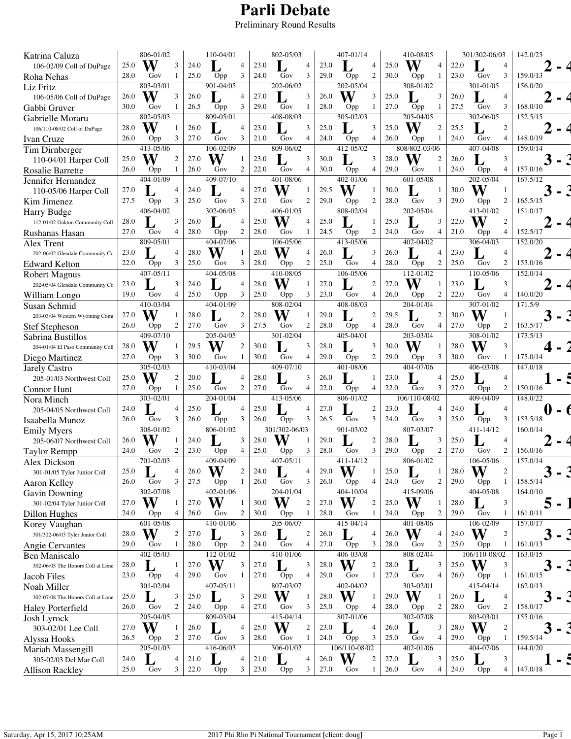## **Parli Debate**

Preliminary Round Results

| Katrina Caluza                                   |              | 806-01/02                |                     |              | 110-04/01     |                  |              | 802-05/03     |                          |              | 407-01/14                  |                       |              | 410-08/05            |                |              | 301/302-06/03    |                     | 142.0/23 |
|--------------------------------------------------|--------------|--------------------------|---------------------|--------------|---------------|------------------|--------------|---------------|--------------------------|--------------|----------------------------|-----------------------|--------------|----------------------|----------------|--------------|------------------|---------------------|----------|
| 106-02/09 Coll of DuPage                         | 25.0         | W                        | 3                   | 24.0         |               | 4                | 23.0         |               | $\overline{4}$           | 23.0         |                            | 4                     | 25.0         | W                    | $\overline{4}$ | 22.0         |                  | 4                   |          |
| Roha Nehas                                       | 28.0         | Gov                      |                     | 25.0         | Opp           | 3                | 24.0         | Gov           | 3                        | 29.0         | Opp                        | $\boldsymbol{2}$      | 30.0         | Opp                  | 1              | 23.0         | Gov              | 3                   | 159.0/13 |
| <b>Liz Fritz</b>                                 |              | 803-03/01                |                     |              | 901-04/05     |                  |              | 202-06/02     |                          |              | 202-05/04                  |                       |              | 308-01/02            |                |              | $301 - 01/05$    |                     | 156.0/20 |
| 106-05/06 Coll of DuPage                         | 26.0         | W                        |                     | 26.0         |               | 4                | 27.0         |               | 3                        | 26.0         | W                          | 3                     | 25.0         |                      | 3              | 26.0         |                  | $\overline{4}$      |          |
| Gabbi Gruver                                     | 30.0         | Gov                      |                     | 26.5         | Opp           | 3                | 29.0         | Gov           | 1                        | 28.0         | Opp                        | 1                     | 27.0         | Opp                  | 1              | 27.5         | Gov              | 3                   | 168.0/10 |
| Gabrielle Moraru                                 |              | 802-05/03                |                     |              | 809-05/01     |                  |              | 408-08/03     |                          |              | 305-02/03                  |                       |              | 205-04/05            |                |              | 302-06/05        |                     | 152.5/15 |
|                                                  | 28.0         | W                        |                     | 26.0         |               | $\overline{4}$   | 23.0         |               | 3                        | 25.0         |                            | 3                     | 25.0         | W                    | $\overline{2}$ | 25.5         |                  | 2                   |          |
| 106/110-08/02 Coll of DuPage                     | 26.0         |                          | 3                   | 27.0         | Gov           | 3                | 21.0         | Gov           | $\overline{4}$           | 24.0         |                            | 4                     | 26.0         |                      | 1              | 24.0         | Gov              | $\overline{4}$      | 148.0/19 |
| Ivan Cruze                                       |              | Opp<br>413-05/06         |                     |              | 106-02/09     |                  |              | 809-06/02     |                          |              | Opp<br>412-05/02           |                       |              | Opp<br>808/802-03/06 |                |              | 407-04/08        |                     | 159.0/14 |
| Tim Dirnberger                                   | 25.0         | W                        | $\overline{2}$      | 27.0         | W             | 1                | 23.0         |               | 3                        | 30.0         |                            | 3                     |              | W                    | $\overline{2}$ | 26.0         |                  | 3                   |          |
| 110-04/01 Harper Coll                            |              |                          |                     |              |               |                  |              |               |                          |              |                            |                       | 28.0         |                      |                |              |                  |                     |          |
| <b>Rosalie Barrette</b>                          | 26.0         | Opp                      |                     | 26.0         | Gov           | 2                | 22.0         | Gov           | 4                        | 30.0         | Opp<br>$402 - 01/06$       | $\overline{4}$        | 29.0         | Gov                  | 1              | 24.0         | Opp<br>202-05/04 | $\overline{4}$      | 157.0/16 |
| Jennifer Hernandez                               |              | 404-01/09                |                     |              | 409-07/10     |                  |              | 401-08/06     |                          |              |                            |                       |              | 601-05/08            |                |              |                  |                     | 167.5/12 |
| 110-05/06 Harper Coll                            | 27.0         |                          | 4                   | 24.0         |               | $\overline{4}$   | 27.0         | W             | 1                        | 29.5         | W                          | 1                     | 30.0         |                      | 1              | 30.0         | W                | 1                   |          |
| Kim Jimenez                                      | 27.5         | Opp                      | 3                   | 25.0         | Gov           | 3                | 27.0         | Gov           | $\mathfrak{2}$           | 29.0         | Opp                        | $\mathfrak{2}$        | 28.0         | Gov                  | 3              | 29.0         | Opp              | $\overline{c}$      | 165.5/15 |
| Harry Budge                                      |              | $\frac{1}{406 - 04}{02}$ |                     |              | 302-06/05     |                  |              | 406-01/05     |                          |              | 808-02/04                  |                       |              | 202-05/04            |                |              | 413-01/02        |                     | 151.0/17 |
| 112-01/02 Oakton Community Coll                  | 28.0         |                          | 3                   | 26.0         |               | $\overline{4}$   | 25.0         | W             | $\overline{4}$           | 25.0         |                            | 1                     | 25.0         |                      | 3              | 22.0         | W                | $\overline{c}$      |          |
| Rushanas Hasan                                   | 27.0         | Gov                      | 4                   | 28.0         | Opp           | $\overline{2}$   | 28.0         | Gov           | 1                        | 24.5         | Opp                        | $\boldsymbol{2}$      | 24.0         | Gov                  | 4              | 21.0         | Opp              | $\overline{4}$      | 152.5/17 |
| Alex Trent                                       |              | 809-05/01                |                     |              | 404-07/06     |                  |              | 106-05/06     |                          |              | 413-05/06                  |                       |              | 402-04/02            |                |              | 306-04/03        |                     | 152.0/20 |
| 202-06/02 Glendale Community Co                  | 23.0         |                          |                     | 28.0         | W             |                  | 26.0         | W             | $\overline{4}$           | 26.0         |                            | 3                     | 26.0         |                      | 4              | 23.0         |                  | 4                   |          |
| <b>Edward Kelton</b>                             | 22.0         | Opp                      | 3                   | 25.0         | Gov           | 3                | 28.0         | Opp           | $\overline{c}$           | 25.0         | Gov                        | 4                     | 28.0         | Opp                  | 2              | 25.0         | Gov              | $\overline{c}$      | 153.0/16 |
| Robert Magnus                                    |              | 407-05/11                |                     |              | 404-05/08     |                  |              | 410-08/05     |                          |              | $106 - 05/06$              |                       |              | $112 - 01/02$        |                |              | 110-05/06        |                     | 152.0/14 |
| 202-05/04 Glendale Community Co                  | 23.0         |                          | 3                   | 24.0         |               | $\overline{4}$   | 28.0         | W             |                          | 27.0         |                            | 2                     | 27.0         | W                    | $\mathbf{1}$   | 23.0         |                  | 3                   |          |
| William Longo                                    | 19.0         | Gov                      | $\overline{4}$      | 25.0         | Opp           | 3                | 25.0         | Opp           | 3                        | 23.0         | Gov                        | $\overline{4}$        | 26.0         | Opp                  | $\mathfrak{2}$ | 22.0         | Gov              | $\overline{4}$      | 140.0/20 |
| Susan Schmid                                     |              | 410-03/04                |                     |              | 404-01/09     |                  |              | 808-02/04     |                          |              | 408-08/03                  |                       |              | 204-01/04            |                |              | 307-01/02        |                     | 171.5/9  |
| 203-03/04 Western Wyoming Com                    | 27.0         | W                        |                     | 28.0         |               | $\boldsymbol{2}$ | 28.0         | W             |                          | 29.0         |                            | $\boldsymbol{2}$      | 29.5         |                      | 2              | 30.0         | W                | $\mathbf{1}$        |          |
| <b>Stef Stepheson</b>                            | 26.0         | Opp                      | $\mathfrak{2}$      | 27.0         | Gov           | 3                | 27.5         | Gov           | 2                        | 28.0         | Opp                        | 4                     | 28.0         | Gov                  | 4              | 27.0         | Opp              | $\overline{c}$      | 163.5/17 |
| Sabrina Bustillos                                |              | 409-07/10                |                     |              | 205-04/05     |                  |              | 301-02/04     |                          |              | 405-04/01                  |                       |              | 203-03/04            |                |              | 308-01/02        |                     | 173.5/13 |
| 204-01/04 El Paso Community Coll                 | 28.0         | W                        |                     | 29.5         | W             | $\overline{2}$   | 30.0         |               | 3                        | 28.0         |                            | 3                     | 30.0         | W                    | -1             | 28.0         | W                | 3                   |          |
| Diego Martinez                                   | 27.0         | Opp                      | 3                   | 30.0         | Gov           | 1                | 30.0         | Gov           | 4                        | 29.0         | Opp                        | $\boldsymbol{2}$      | 29.0         | Opp                  | 3              | 30.0         | Gov              | 1                   | 175.0/14 |
| Jarely Castro                                    |              | 305-02/03                |                     |              | 410-03/04     |                  |              | 409-07/10     |                          |              | 401-08/06                  |                       |              | 404-07/06            |                |              | 406-03/08        |                     | 147.0/18 |
| 205-01/03 Northwest Coll                         | 25.0         | W                        | 2                   | 20.0         |               | $\overline{4}$   | 28.0         |               | 3                        | 26.0         |                            | 1                     | 23.0         |                      | $\overline{4}$ | 25.0         |                  | $\overline{4}$      |          |
| Connor Hunt                                      | 27.0         | Opp                      |                     | 25.0         | Gov           | $\mathfrak{2}$   | 27.0         | Gov           | 4                        | 22.0         | Opp                        | 4                     | 22.0         | Gov                  | 3              | 27.0         | Opp              | $\mathfrak{2}$      | 150.0/16 |
| Nora Minch                                       |              | 303-02/01                |                     |              | 204-01/04     |                  |              | 413-05/06     |                          |              | 806-01/02                  |                       |              | 106/110-08/02        |                |              | 409-04/09        |                     | 148.0/22 |
| 205-04/05 Northwest Coll                         | 24.0         |                          |                     | 25.0         |               | $\overline{4}$   | 25.0         |               | 4                        | 27.0         |                            | 2                     | 23.0         |                      | 4              | 24.0         |                  | 4                   |          |
| Isaabella Munoz                                  | 26.0         | Gov                      | 3                   | 26.0         | Opp           | 3                | 26.0         | Opp           | 3                        | 26.5         | Gov                        | 3                     | 24.0         | Gov                  | 3              | 25.0         | Opp              | 3                   | 153.5/18 |
| <b>Emily Myers</b>                               |              | 308-01/02                |                     |              | 806-01/02     |                  |              | 301/302-06/03 |                          |              | 901-03/02                  |                       |              | 807-03/07            |                |              | 411-14/12        |                     | 160.0/14 |
| 205-06/07 Northwest Coll                         | 26.0         | W                        |                     | 24.0         |               | 3                | 28.0         | W             |                          | 29.0         |                            | $\mathfrak{2}$        | 28.0         |                      | 3              | 25.0         |                  | $\overline{4}$      |          |
| <b>Taylor Rempp</b>                              | 24.0         | Gov                      | 2                   | 23.0         | Opp           | $\overline{4}$   | 25.0         | Opp           | 3                        | 28.0         | Gov                        | 3                     | 29.0         | Opp                  | $\overline{c}$ | 27.0         | Gov              | 2                   | 156.0/16 |
| Alex Dickson                                     |              | 701-02/03                |                     |              | 409-04/09     |                  |              | 407-05/11     |                          |              | 411-14/12                  |                       |              | 806-01/02            |                |              | 106-05/06        |                     | 157.0/14 |
| 301-01/05 Tyler Junior Coll                      | 25.0         |                          | 4                   | 26.0         | W             | 2                | 24.0         |               | $\overline{\mathcal{A}}$ | 29.0         | W                          | 1                     | 25.0         |                      | 1              | 28.0         | W                | $\overline{c}$      |          |
| Aaron Kelley                                     | 26.0         | Gov                      | 3                   | 27.5         | Opp           | $\mathbf{1}$     | 26.0         | Gov           | 3                        | 26.0         | Opp                        | 4                     | 24.0         | Gov                  | $\overline{c}$ | 29.0         | Opp              | $\mathbf{1}$        | 158.5/14 |
| <b>Gavin Downing</b>                             |              | 302-07/08                |                     |              | 402-01/06     |                  |              | 204-01/04     |                          |              | 404-10/04                  |                       |              | 415-09/06            |                |              | 404-05/08        |                     | 164.0/10 |
| 301-02/04 Tyler Junior Coll                      | 27.0         | W                        |                     | 27.0         | W             | -1               | 30.0         | W             | $\overline{c}$           | 27.0         | W                          | $\boldsymbol{2}$      | 25.0         | W                    | -1             | 28.0         |                  | 3                   |          |
| Dillon Hughes                                    | 24.0         | Opp                      | 4                   | 26.0         | Gov           | 2                | 30.0         | Opp           | 1                        | 28.0         | Gov                        | 1                     | 24.0         | Opp                  | $\overline{c}$ | 29.0         | Gov              | 1                   | 161.0/11 |
| Korey Vaughan                                    |              | 601-05/08                |                     |              | 410-01/06     |                  |              | 205-06/07     |                          |              | 415-04/14                  |                       |              | 401-08/06            |                |              | 106-02/09        |                     | 157.0/17 |
| 301/302-06/03 Tyler Junior Coll                  | 28.0         | W                        | $\boldsymbol{2}$    | 27.0         |               | 3                | 26.0         |               | $\overline{c}$           | 26.0         | $\mathbf{I}_{\mathcal{L}}$ | $\overline{4}$        | 26.0         | W                    | $\overline{4}$ | 24.0         | W                | $\overline{c}$      |          |
| Angie Cervantes                                  | 29.0         | Gov                      | 1                   | 28.0         | Opp           | $\overline{c}$   | 24.0         | Gov           | $\overline{4}$           | 27.0         | Opp                        | 3                     | 28.0         | Gov                  | $\overline{c}$ | 25.0         | Opp              | -1                  | 161.0/13 |
| <b>Ben Maniscalo</b>                             |              | 402-05/03                |                     |              | $112 - 01/02$ |                  |              | 410-01/06     |                          |              | 406-03/08                  |                       |              | 808-02/04            |                |              | 106/110-08/02    |                     | 163.0/15 |
| 302-06/05 The Honors Coll at Lone                | 28.0         |                          |                     | 27.0         | W             | 3                | 27.0         |               | 3                        | 28.0         | W                          | $\boldsymbol{2}$      | 28.0         | L                    | 3              | 25.0         | W                | 3                   |          |
| Jacob Files                                      | 23.0         | Opp                      | 4                   | 29.0         | Gov           | 1                | 27.0         | Opp           | 4                        | 29.0         | Gov                        | 1                     | 27.0         | Gov                  | $\overline{4}$ | 26.0         | Opp              |                     | 161.0/15 |
| Noah Miller                                      |              | 301-02/04                |                     |              | 407-05/11     |                  |              | 807-03/07     |                          |              | $402 - 04/02$              |                       |              | $303 - 02/01$        |                |              | 415-04/14        |                     | 162.0/13 |
| 302-07/08 The Honors Coll at Lone                | 25.0         |                          | 3                   | 25.0         |               | 3                | 29.0         | W             | 1                        | 28.0         | W                          | $\mathbf{1}$          | 29.0         | W                    | $\mathbf{1}$   | 26.0         | L                | $\overline{4}$      |          |
| Haley Porterfield                                |              |                          |                     | 24.0         | Opp           | 4                | 27.0         | Gov           | 3                        | 25.0         | Opp                        | $\overline{4}$        | 28.0         | Opp                  | $\overline{2}$ | 28.0         | Gov              | 2                   | 158.0/17 |
|                                                  | 26.0         | Gov                      | $\boldsymbol{2}$    |              |               |                  |              |               |                          |              |                            |                       |              |                      |                |              |                  |                     |          |
|                                                  |              | 205-04/05                |                     |              | 809-03/04     |                  |              | 415-04/14     |                          |              | 807-01/06                  |                       |              | 302-07/08            |                |              | 803-03/01        |                     |          |
|                                                  |              |                          |                     |              |               | $\overline{4}$   |              |               |                          |              |                            |                       |              |                      |                |              |                  |                     | 155.0/16 |
| Josh Lyrock<br>303-02/01 Lee Coll                | 27.0         | W                        |                     | 26.0         |               |                  | 25.0         | W             | $\boldsymbol{2}$         | 23.0         | L                          | 4                     | 26.0         | L                    | 3              | 28.0         | W                | 2                   |          |
| Alyssa Hooks                                     | 26.5         | Opp                      | 2                   | 27.0         | Gov           | 3                | 28.0         | Gov           | 1                        | 24.0         | Opp                        | 3                     | 25.0         | Gov                  | 4              | 29.0         | Opp              |                     | 159.5/14 |
| Mariah Massengill                                |              | 205-01/03                |                     |              | $416 - 06/03$ |                  |              | 306-01/02     |                          |              | 106/110-08/02              |                       |              | 402-01/06            |                |              | 404-07/06        |                     | 144.0/20 |
| 305-02/03 Del Mar Coll<br><b>Allison Rackley</b> | 24.0<br>25.0 | Gov                      | $\overline{4}$<br>3 | 21.0<br>22.0 | Opp           | 4<br>3           | 21.0<br>23.0 | Opp           | $\overline{4}$<br>3      | 26.0<br>27.0 | W<br>Gov                   | $\boldsymbol{2}$<br>1 | 27.0<br>26.0 | Gov                  | 3<br>4         | 25.0<br>24.0 | Opp              | 3<br>$\overline{4}$ | 147.0/18 |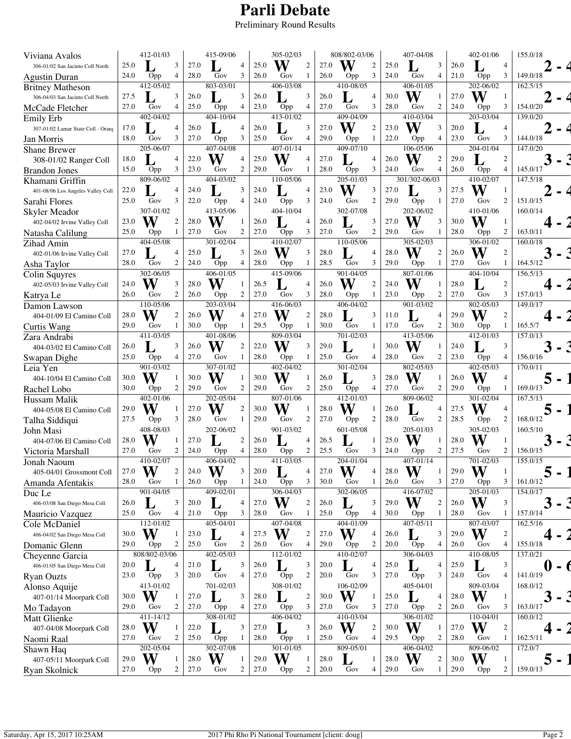## **Parli Debate**

Preliminary Round Results

| Viviana Avalos                                   |      | 412-01/03        |                |      | 415-09/06        |                  |      | 305-02/03     |                         |      | 808/802-03/06            |                         |      | 407-04/08        |                |      | 402-01/06        |                | 155.0/18 |
|--------------------------------------------------|------|------------------|----------------|------|------------------|------------------|------|---------------|-------------------------|------|--------------------------|-------------------------|------|------------------|----------------|------|------------------|----------------|----------|
| 306-01/02 San Jacinto Coll North                 | 25.0 |                  | 3              | 27.0 |                  | $\overline{4}$   | 25.0 | W             | 2                       | 27.0 | W                        | $\mathfrak{2}$          | 25.0 |                  | 3              | 26.0 |                  | $\overline{4}$ |          |
| Agustin Duran                                    | 24.0 | Opp              | 4              | 28.0 | Gov              | 3                | 26.0 | Gov           | 1                       | 26.0 | Opp                      | 3                       | 24.0 | Gov              | 4              | 21.0 | Opp              | 3              | 149.0/18 |
| <b>Britney Matheson</b>                          |      | 412-05/02        |                |      | 803-03/01        |                  |      | 406-03/08     |                         |      | 410-08/05                |                         |      | 406-01/05        |                |      | 202-06/02        |                | 162.5/15 |
| 306-04/03 San Jacinto Coll North                 | 27.5 |                  | 3              | 26.0 |                  | 3                | 26.0 |               | 3                       | 26.0 |                          | 4                       | 30.0 | W                |                | 27.0 | W                | $\mathbf{1}$   |          |
| McCade Fletcher                                  | 27.0 | Gov              | $\overline{4}$ | 25.0 | Opp              | $\overline{4}$   | 23.0 | Opp           | 4                       | 27.0 | Gov                      | 3                       | 28.0 | Gov              | 2              | 24.0 | Opp              | 3              | 154.0/20 |
| Emily Erb                                        |      | 402-04/02        |                |      | 404-10/04        |                  |      | 413-01/02     |                         |      | 409-04/09                |                         |      | 410-03/04        |                |      | 203-03/04        |                | 139.0/20 |
| 307-01/02 Lamar State Coll - Orans               | 17.0 |                  |                | 26.0 |                  | $\overline{4}$   | 26.0 |               | 3                       | 27.0 | W                        | $\overline{c}$          | 23.0 | W                | 3              | 20.0 |                  | 4              |          |
| Jan Morris                                       | 18.0 | Gov              | 3              | 27.0 | Opp              | 3                | 25.0 | Gov           | 4                       | 29.0 | Opp                      | 1                       | 22.0 | Opp              | 4              | 23.0 | Gov              | 3              | 144.0/18 |
| <b>Shane Brewer</b>                              |      | 205-06/07        |                |      | $407 - 04/08$    |                  |      | 407-01/14     |                         |      | 409-07/10                |                         |      | 106-05/06        |                |      | 204-01/04        |                | 147.0/20 |
| 308-01/02 Ranger Coll                            | 18.0 |                  | 4              | 22.0 | W                | $\overline{4}$   | 25.0 | W             | 4                       | 27.0 |                          | 4                       | 26.0 | W                | $\overline{2}$ | 29.0 |                  | 2              |          |
| <b>Brandon Jones</b>                             | 15.0 | Opp              | 3              | 23.0 | Gov              | $\overline{2}$   | 29.0 | Gov           | 1                       | 28.0 | Opp                      | 3                       | 24.0 | Gov              | 4              | 26.0 | Opp              | $\overline{4}$ | 145.0/17 |
| Khamani Griffin                                  |      | $809 - 06/02$    |                |      | 404-03/02        |                  |      | 110-05/06     |                         |      | 205-01/03                |                         |      | 301/302-06/03    |                |      | 410-02/07        |                | 147.5/18 |
| 401-08/06 Los Angeles Valley Coll                | 22.0 |                  | $\overline{4}$ | 24.0 |                  | 3                | 24.0 |               | 4                       | 23.0 | W                        | 3                       | 27.0 |                  | 3              | 27.5 | W                | 1              |          |
| Sarahi Flores                                    | 25.0 | Gov              | 3              | 22.0 | Opp              | 4                | 24.0 | Opp           | 3                       | 24.0 | Gov                      | $\mathfrak{2}$          | 29.0 | Opp              | 1              | 27.0 | Gov              | 2              | 151.0/15 |
| Skyler Meador                                    |      | 307-01/02        |                |      | 413-05/06        |                  |      | 404-10/04     |                         |      | 302-07/08                |                         |      | 202-06/02        |                |      | 410-01/06        |                | 160.0/14 |
| 402-04/02 Irvine Valley Coll                     | 23.0 | W                | $\overline{c}$ | 28.0 | W                | -1               | 26.0 |               | 4                       | 26.0 |                          | 3                       | 27.0 | W                | 3              | 30.0 | W                | -1             |          |
| Natasha Calilung                                 | 25.0 | Opp              | 1              | 27.0 | Gov              | 2                | 27.0 | Opp           | 3                       | 27.0 | Gov                      | $\mathfrak{2}$          | 29.0 | Gov              | -1             | 28.0 | Opp              | 2              | 163.0/11 |
| Zihad Amin                                       |      | 404-05/08        |                |      | 301-02/04        |                  |      | 410-02/07     |                         |      | 110-05/06                |                         |      | 305-02/03        |                |      | 306-01/02        |                | 160.0/18 |
| 402-01/06 Irvine Valley Coll                     | 27.0 |                  | 4              | 25.0 |                  | 3                | 26.0 | W             | 3                       | 28.0 |                          | 4                       | 28.0 | W                | $\overline{c}$ | 26.0 | W                | $\overline{2}$ |          |
| Asha Taylor                                      | 28.0 | Gov              | $\overline{2}$ | 24.0 | Opp              | $\overline{4}$   | 28.0 | Opp           | 1                       | 28.5 | Gov                      | 3                       | 29.0 | Opp              | 1              | 27.0 | Gov              | 1              | 164.5/12 |
| Colin Squyres                                    |      | 302-06/05        |                |      | 406-01/05        |                  |      | 415-09/06     |                         |      | 901-04/05                |                         |      | 807-01/06        |                |      | 404-10/04        |                | 156.5/13 |
| 402-05/03 Irvine Valley Coll                     | 24.0 |                  | 3              | 28.0 | W                |                  | 26.5 |               | 4                       | 26.0 | W                        | $\mathfrak{2}$          | 24.0 | W                | -1             | 28.0 |                  | $\overline{c}$ |          |
| Katrya Le                                        | 26.0 | Gov              | $\overline{c}$ | 26.0 | Opp              | $\overline{c}$   | 27.0 | Gov           | 3                       | 28.0 | Opp                      | 1                       | 23.0 | Opp              | 2              | 27.0 | Gov              | 3              | 157.0/13 |
| Damon Lawson                                     |      | 110-05/06        |                |      | 203-03/04        |                  |      | 416-06/03     |                         |      | 406-04/02                |                         |      | 901-03/02        |                |      | 802-05/03        |                | 149.0/17 |
| 404-01/09 El Camino Coll                         | 28.0 | W                | $\overline{c}$ | 26.0 | W                | $\overline{4}$   | 27.0 | W             | $\overline{2}$          | 28.0 |                          | 3                       | 11.0 |                  | 4              | 29.0 | W                | 2              |          |
| Curtis Wang                                      | 29.0 | Gov              | -1             | 30.0 | Opp              | -1               | 29.5 | Opp           | 1                       | 30.0 | Gov                      | 1                       | 17.0 | Gov              | 2              | 30.0 | Opp              | 1              | 165.5/7  |
| Zara Andrabi                                     |      | 411-03/05        |                |      | 401-08/06        |                  |      | 809-03/04     |                         |      | 701-02/03                |                         |      | 413-05/06        |                |      | 412-01/03        |                | 157.0/13 |
| 404-03/02 El Camino Coll                         | 26.0 |                  | 3              | 26.0 | W                | $\overline{2}$   | 22.0 | W             | 3                       | 29.0 |                          | 1                       | 30.0 | W                | $\mathbf{1}$   | 24.0 |                  | 3              |          |
| Swapan Dighe                                     | 25.0 | Opp              | $\overline{4}$ | 27.0 | Gov              | -1               | 28.0 | Opp           | 1                       | 25.0 | Gov                      | 4                       | 28.0 | Gov              | $\overline{c}$ | 23.0 | Opp              | $\overline{4}$ | 156.0/16 |
| Leia Yen                                         |      | 901-03/02        |                |      | 307-01/02        |                  |      | 402-04/02     |                         |      | $\overline{301 - 02}/04$ |                         |      | 802-05/03        |                |      | 402-05/03        |                | 170.0/11 |
| 404-10/04 El Camino Coll                         | 30.0 | W                |                | 30.0 | W                | $\overline{1}$   | 30.0 | W             | 1                       | 26.0 |                          | 3                       | 28.0 | W                | $\mathbf{1}$   | 26.0 | W                | $\overline{4}$ |          |
| Rachel Lobo                                      | 30.0 | Opp              | 2              | 29.0 | Gov              | $\overline{2}$   | 29.0 | Gov           | 2                       | 25.0 | Opp                      | 4                       | 27.0 | Gov              | 2              | 29.0 | Opp              | -1             | 169.0/13 |
| Hussam Malik                                     |      | 402-01/06        |                |      | 202-05/04        |                  |      | 807-01/06     |                         |      | 412-01/03                |                         |      | 809-06/02        |                |      | 301-02/04        |                | 167.5/13 |
| 404-05/08 El Camino Coll                         | 29.0 | W                |                | 27.0 | W                | $\overline{2}$   | 30.0 | W             |                         | 28.0 | W                        |                         | 26.0 |                  | 4              | 27.5 | W                | 4              |          |
| Talha Siddiqui                                   | 27.5 | Opp              | 3              | 28.0 | Gov              | 1                | 29.0 | Gov           | $\overline{2}$          | 27.0 | Opp                      | 2                       | 28.0 | Gov              | 2              | 28.5 | Opp              | $\overline{c}$ | 168.0/12 |
| John Masi                                        |      | 408-08/03        |                |      | 202-06/02        |                  |      | 901-03/02     |                         |      | 601-05/08                |                         |      | 205-01/03        |                |      | 305-02/03        |                | 160.5/10 |
| 404-07/06 El Camino Coll                         | 28.0 |                  |                | 27.0 |                  | $\overline{2}$   | 26.0 |               | 4                       | 26.5 |                          | 1                       | 25.0 | W                | -1             | 28.0 | W                | $\mathbf{1}$   |          |
| Victoria Marshall                                | 27.0 | Gov              | 2              | 24.0 | Opp              | $\overline{4}$   | 28.0 | Opp           | $\mathfrak{2}$          | 25.5 | Gov                      | 3                       | 24.0 | Opp              | 2              | 27.5 | Gov              | $\overline{c}$ | 156.0/15 |
| Jonah Naoum                                      |      | 410-02/07        |                |      | 406-04/02        |                  |      | 411-03/05     |                         |      | 204-01/04                |                         |      | 407-01/14        |                |      | 701-02/03        |                | 155.0/15 |
| 405-04/01 Grossmont Coll                         | 27.0 | W                | 2              | 24.0 | W                | 3                | 20.0 |               | 4                       | 27.0 | W                        | 4                       | 28.0 | W                | 1              | 29.0 | W                | $\mathbf{1}$   |          |
| Amanda Afentakis                                 | 28.0 | Gov              | 1              | 26.0 | Opp              | -1               | 24.0 | Opp           | 3                       | 30.0 | Gov                      | 1                       | 26.0 | Gov              | 3              | 27.0 | Opp              | 3              | 161.0/12 |
| Duc Le                                           |      | 901-04/05        |                |      | 409-02/01        |                  |      | 306-04/03     |                         |      | 302-06/05                |                         |      | 416-07/02        |                |      | 205-01/03        |                | 154.0/17 |
| 406-03/08 San Diego Mesa Coll                    | 26.0 |                  | 3              | 20.0 |                  | 4                | 27.0 | W             | $\overline{2}$          | 26.0 |                          | 3                       | 29.0 | W                | $\overline{c}$ | 26.0 | W                | 3              |          |
| Mauricio Vazquez                                 | 25.0 | Gov              | 4              | 21.0 | Opp              | 3                | 28.0 | Gov           | 1                       | 25.0 | Opp                      | 4                       | 30.0 | Opp              | 1              | 28.0 | Gov              | -1             | 157.0/14 |
| Cole McDaniel                                    |      | 112-01/02        |                |      | $405 - 04/01$    |                  |      | 407-04/08     |                         |      | 404-01/09                |                         |      | 407-05/11        |                |      | 807-03/07        |                | 162.5/16 |
| 406-04/02 San Diego Mesa Coll                    | 30.0 | W                | -1             | 23.0 | Ъ                | 4                | 27.5 | W             | $\overline{2}$          | 27.0 | W                        | 4                       | 26.0 |                  | 3              | 29.0 | W                | 2              |          |
| Domanic Glenn                                    | 29.0 | Opp              | $\overline{c}$ | 25.0 | Gov              | $\boldsymbol{2}$ | 26.0 | Gov           | 4                       | 29.0 | Opp                      | $\overline{\mathbf{c}}$ | 20.0 | Opp              | 4              | 26.0 | Gov              | $\overline{4}$ | 155.0/18 |
|                                                  |      | 808/802-03/06    |                |      | 402-05/03        |                  |      | 112-01/02     |                         |      | 410-02/07                |                         |      | $306 - 04/03$    |                |      | 410-08/05        |                | 137.0/21 |
| Cheyenne Garcia<br>406-01/05 San Diego Mesa Coll | 20.0 |                  | 4              | 21.0 |                  | 3                | 26.0 |               | 3                       | 20.0 |                          | 4                       | 25.0 | L                | 4              | 25.0 | L                | 3              |          |
|                                                  | 23.0 |                  | 3              | 20.0 | L<br>Gov         | 4                | 27.0 | Opp           | 2                       | 20.0 | L<br>Gov                 | 3                       | 27.0 |                  | 3              | 24.0 | Gov              | $\overline{4}$ | 141.0/19 |
| Ryan Ouzts                                       |      | Opp<br>413-01/02 |                |      | 701-02/03        |                  |      | 308-01/02     |                         |      | 106-02/09                |                         |      | Opp<br>405-04/01 |                |      | 809-03/04        |                | 168.0/12 |
| Alonso Aquije                                    | 30.0 | W                | -1             | 27.0 |                  | 3                | 28.0 |               | $\overline{\mathbf{c}}$ | 30.0 | W                        | $\mathbf{1}$            | 25.0 | L                | $\overline{4}$ | 28.0 | W                | $\mathbf{1}$   |          |
| 407-01/14 Moorpark Coll                          | 29.0 | Gov              | 2              | 27.0 | Opp              | 4                | 27.0 | Opp           | 3                       | 27.0 | Gov                      | 3                       | 27.0 | Opp              | $\overline{2}$ | 26.0 | Gov              | 3              | 163.0/17 |
| Mo Tadayon                                       |      | 411-14/12        |                |      | 308-01/02        |                  |      | 406-04/02     |                         |      | 410-03/04                |                         |      | 306-01/02        |                |      | 110-04/01        |                | 160.0/12 |
| <b>Matt Glienke</b>                              |      |                  |                |      |                  |                  |      |               |                         |      |                          | $\mathfrak{2}$          |      |                  |                |      |                  |                |          |
| 407-04/08 Moorpark Coll                          | 28.0 | W                |                | 22.0 | L                | 3                | 27.0 |               | 3                       | 26.0 | W                        |                         | 30.0 | W                | $\mathbf{1}$   | 27.0 | W                | 2              |          |
| Naomi Raal                                       | 27.0 | Gov              | 2              | 25.0 | Opp<br>302-07/08 | 1                | 28.0 | Opp           | 1                       | 25.0 | Gov                      | 4                       | 29.5 | Opp<br>406-04/02 | 2              | 28.0 | Gov<br>809-06/02 |                | 162.5/11 |
| Shawn Haq                                        |      | 202-05/04        |                |      |                  |                  |      | $301 - 01/05$ |                         |      | 809-05/01                |                         |      |                  |                |      |                  |                | 172.0/7  |
| 407-05/11 Moorpark Coll                          | 29.0 | W                |                | 28.0 | W                | -1               | 29.0 | W             | 1                       | 28.0 |                          | 1                       | 28.0 | W                | $\overline{c}$ | 30.0 | W                | 1              |          |
| Ryan Skolnick                                    | 27.0 | Opp              | 2              | 27.0 | Gov              | $\overline{c}$   | 27.0 | Opp           | 2                       | 20.0 | Gov                      | 4                       | 29.0 | Gov              | 1              | 29.0 | Opp              | $\overline{c}$ | 159.0/13 |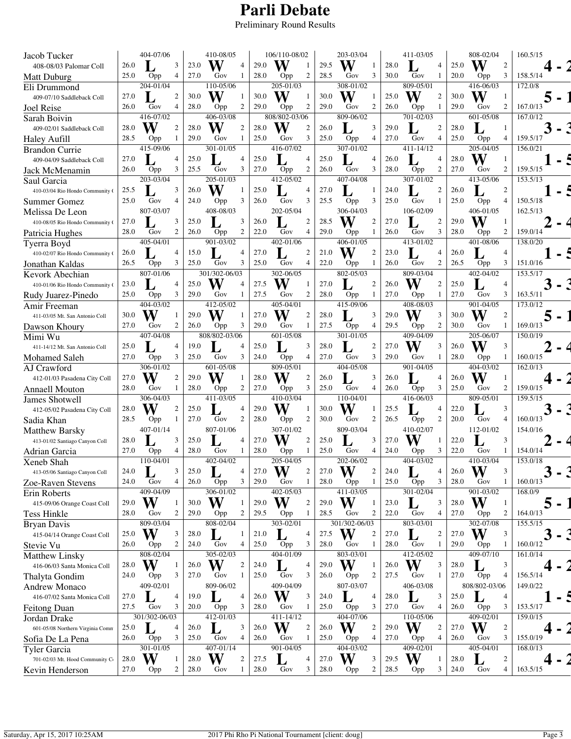## **Parli Debate**

Preliminary Round Results

| Jacob Tucker                                |      | 404-07/06              |                  | 410-08/05                     |      | 106/110-08/02           |      | 203-03/04                    |      | 411-03/05             |      | 808-02/04               | 160.5/15 |
|---------------------------------------------|------|------------------------|------------------|-------------------------------|------|-------------------------|------|------------------------------|------|-----------------------|------|-------------------------|----------|
| 408-08/03 Palomar Coll                      | 26.0 |                        | 3                | W<br>23.0<br>$\overline{4}$   | 29.0 | W<br>-1                 | 29.5 | W<br>1                       | 28.0 | $\overline{4}$        | 25.0 | W<br>$\overline{c}$     |          |
| Matt Duburg                                 | 25.0 | Opp                    | 4                | 27.0<br>Gov<br>1              | 28.0 | $\boldsymbol{2}$<br>Opp | 28.5 | 3<br>Gov                     | 30.0 | Gov<br>1              | 20.0 | 3<br>Opp                | 158.5/14 |
| Eli Drummond                                |      | 204-01/04              |                  | 110-05/06                     |      | 205-01/03               |      | 308-01/02                    |      | 809-05/01             |      | 416-06/03               | 172.0/8  |
| 409-07/10 Saddleback Coll                   | 27.0 |                        | 2                | W<br>30.0                     | 30.0 | W<br>1                  | 30.0 | W<br>1                       | 25.0 | W<br>$\overline{c}$   | 30.0 | W<br>$\mathbf{1}$       |          |
| <b>Joel Reise</b>                           | 26.0 | Gov                    | 4                | $\overline{2}$<br>28.0<br>Opp | 29.0 | $\overline{2}$<br>Opp   | 29.0 | 2<br>Gov                     | 26.0 | Opp<br>1              | 29.0 | $\overline{2}$<br>Gov   | 167.0/13 |
| Sarah Boivin                                |      | 416-07/02              |                  | 406-03/08                     |      | 808/802-03/06           |      | 809-06/02                    |      | 701-02/03             |      | 601-05/08               | 167.0/12 |
| 409-02/01 Saddleback Coll                   | 28.0 | W                      | $\overline{c}$   | W<br>28.0<br>$\mathcal{P}$    | 28.0 | W<br>$\overline{2}$     | 26.0 | 3                            | 29.0 | 2                     | 28.0 | 1                       |          |
| Haley Aufill                                | 28.5 | Opp                    | 1                | 29.0<br>Gov<br>1              | 25.0 | 3<br>Gov                | 25.0 | 4<br>Opp                     | 27.0 | Gov<br>4              | 25.0 | Opp<br>$\overline{4}$   | 159.5/17 |
| Brandon Currie                              |      | $\frac{1}{41}$ 5-09/06 |                  | $301 - 01/05$                 |      | 416-07/02               |      | 307-01/02                    |      | 411-14/12             |      | 205-04/05               | 156.0/21 |
| 409-04/09 Saddleback Coll                   | 27.0 |                        | 4                | 25.0<br>$\overline{4}$        | 25.0 | $\overline{4}$          | 25.0 | 4                            | 26.0 | $\overline{4}$        | 28.0 | W<br>1                  |          |
| Jack McMenamin                              | 26.0 | Opp                    | 3                | 3<br>25.5<br>Gov              | 27.0 | $\mathfrak{2}$<br>Opp   | 26.0 | 3<br>Gov                     | 28.0 | $\overline{2}$<br>Opp | 27.0 | $\overline{2}$<br>Gov   | 159.5/15 |
| Saul Garcia                                 |      | 203-03/04              |                  | 205-01/03                     |      | 412-05/02               |      | $407 - 04/08$                |      | $307 - 01/02$         |      | 413-05/06               | 153.5/13 |
| 410-03/04 Rio Hondo Community (             | 25.5 |                        | 3                | W<br>26.0                     | 25.0 | $\overline{4}$          | 27.0 | 1                            | 24.0 | $\overline{c}$        | 26.0 | $\overline{c}$          |          |
| <b>Summer Gomez</b>                         | 25.0 | Gov                    | 4                | 3<br>24.0<br>Opp              | 26.0 | 3<br>Gov                | 25.5 | 3<br>Opp                     | 25.0 | Gov<br>1              | 25.0 | Opp<br>$\overline{4}$   | 150.5/18 |
| Melissa De Leon                             |      | 807-03/07              |                  | 408-08/03                     |      | 202-05/04               |      | 306-04/03                    |      | 106-02/09             |      | 406-01/05               | 162.5/13 |
| 410-08/05 Rio Hondo Community (             | 27.0 |                        | 3                | 25.0<br>3                     | 26.0 | $\mathfrak{2}$          | 28.5 | W<br>$\boldsymbol{2}$        | 27.0 | $\overline{c}$        | 29.0 | W<br>-1                 |          |
| Patricia Hughes                             | 28.0 | Gov                    | 2                | $\overline{2}$<br>26.0<br>Opp | 22.0 | $\overline{4}$<br>Gov   | 29.0 | Opp<br>1                     | 26.0 | 3<br>Gov              | 28.0 | 2<br>Opp                | 159.0/14 |
| Tyerra Boyd                                 |      | 405-04/01              |                  | 901-03/02                     |      | 402-01/06               |      | 406-01/05                    |      | 413-01/02             |      | 401-08/06               | 138.0/20 |
| 410-02/07 Rio Hondo Community (             | 26.0 |                        | 4                | 15.0<br>4                     | 27.0 | $\overline{c}$          | 21.0 | W<br>2                       | 23.0 | 4                     | 26.0 | 4                       |          |
| Jonathan Kaldas                             | 26.5 | Opp                    | 3                | Gov<br>3<br>25.0              | 25.0 | Gov<br>$\overline{4}$   | 22.0 | 1<br>Opp                     | 26.0 | $\overline{2}$<br>Gov | 26.5 | 3<br>Opp                | 151.0/16 |
| Kevork Abechian                             |      | 807-01/06              |                  | 301/302-06/03                 |      | 302-06/05               |      | 802-05/03                    |      | $809 - 03/04$         |      | $\overline{40}$ 2-04/02 | 153.5/17 |
| 410-01/06 Rio Hondo Community               | 23.0 |                        | 4                | W<br>25.0<br>$\Delta$         | 27.5 |                         | 27.0 | 2                            | 26.0 | W<br>$\overline{2}$   | 25.0 | $\overline{4}$          |          |
| Rudy Juarez-Pinedo                          | 25.0 | Opp                    | 3                | 29.0<br>Gov<br>1              | 27.5 | 2<br>Gov                | 28.0 | Opp<br>1                     | 27.0 | Opp<br>-1             | 27.0 | 3<br>Gov                | 163.5/11 |
| Amir Freeman                                |      | 404-03/02              |                  | 412-05/02                     |      | 405-04/01               |      | 415-09/06                    |      | 408-08/03             |      | 901-04/05               | 173.0/12 |
| 411-03/05 Mt. San Antonio Coll              | 30.0 | W                      |                  | W<br>29.0                     | 27.0 | W<br>$\overline{2}$     | 28.0 | 3                            | 29.0 | W<br>3                | 30.0 | W<br>$\mathfrak{2}$     |          |
| Dawson Khoury                               | 27.0 | Gov                    | 2                | 3<br>26.0<br>Opp              | 29.0 | Gov<br>1                | 27.5 | $\overline{4}$<br>Opp        | 29.5 | $\mathfrak{2}$<br>Opp | 30.0 | Gov<br>1                | 169.0/13 |
| Mimi Wu                                     |      | 407-04/08              |                  | 808/802-03/06                 |      | 601-05/08               |      | 301-01/05                    |      | 409-04/09             |      | 205-06/07               | 150.0/19 |
| 411-14/12 Mt. San Antonio Coll              | 25.0 |                        | 4                | 19.0<br>$\overline{4}$        | 25.0 | 3                       | 28.0 | 2                            | 27.0 | W<br>3                | 26.0 | W<br>3                  |          |
| Mohamed Saleh                               | 27.0 | Opp                    | 3                | 3<br>Gov<br>25.0              | 24.0 | 4<br>Opp                | 27.0 | Gov<br>3                     | 29.0 | Gov<br>-1             | 28.0 | Opp                     | 160.0/15 |
| AJ Crawford                                 |      | 306-01/02              |                  | 601-05/08                     |      | 809-05/01               |      | 404-05/08                    |      | 901-04/05             |      | 404-03/02               | 162.0/13 |
| 412-01/03 Pasadena City Coll                | 27.0 | W                      | 2                | W<br>29.0<br>1                | 28.0 | W<br>$\overline{c}$     | 26.0 | 3                            | 26.0 | $\overline{4}$        | 26.0 | W<br>$\mathbf{1}$       |          |
| <b>Annaell Mouton</b>                       | 28.0 | Gov                    | 1                | 2<br>28.0<br>Opp              | 27.0 | 3<br>Opp                | 25.0 | Gov<br>4                     | 26.0 | 3<br>Opp              | 25.0 | 2<br>Gov                | 159.0/15 |
| <b>James Shotwell</b>                       |      | 306-04/03              |                  | 411-03/05                     |      | 410-03/04               |      | 110-04/01                    |      | 416-06/03             |      | 809-05/01               | 159.5/15 |
| 412-05/02 Pasadena City Coll                | 28.0 | W                      | $\overline{2}$   | 25.0<br>$\overline{4}$        | 29.0 | W                       | 30.0 | W                            | 25.5 | 4                     | 22.0 | 3                       |          |
| Sadia Khan                                  | 28.5 | Opp                    | 1                | $\overline{c}$<br>27.0<br>Gov | 28.0 | 2<br>Opp                | 30.0 | 2<br>Gov                     | 26.5 | 2<br>Opp              | 20.0 | Gov<br>4                | 160.0/13 |
| <b>Matthew Barsky</b>                       |      | 407-01/14              |                  | 807-01/06                     |      | $307 - 01/02$           |      | 809-03/04                    |      | 410-02/07             |      | $\overline{11}$ 2-01/02 | 154.0/16 |
| 413-01/02 Santiago Canyon Coll              | 28.0 |                        | 3                | 25.0<br>$\overline{4}$        | 27.0 | $\overline{2}$          | 25.0 | 3                            | 27.0 | W<br>$\mathbf{1}$     | 22.0 | 3                       |          |
| Adrian Garcia                               | 27.0 | Opp                    | 4                | 28.0<br>Gov<br>1              | 28.0 | Opp<br>1                | 25.0 | Gov<br>4                     | 24.0 | 3<br>Opp              | 22.0 | Gov<br>1                | 154.0/14 |
| Xeneb Shah                                  |      | 110-04/01              |                  | 402-04/02                     |      | 205-04/05               |      | 202-06/02                    |      | 404-03/02             |      | 410-03/04               | 153.0/18 |
| 413-05/06 Santiago Canyon Coll              | 24.0 |                        | 3                | 25.0<br>4                     | 27.0 | W<br>2                  | 27.0 | W<br>$\overline{\mathbf{c}}$ | 24.0 | 4                     | 26.0 | W<br>3                  |          |
|                                             | 24.0 | Gov                    | 4                | 3<br>26.0<br>Opp              | 29.0 | 1<br>Gov                | 28.0 | 1<br>Opp                     | 25.0 | 3<br>Opp              | 28.0 | Gov<br>1                | 160.0/13 |
| Zoe-Raven Stevens                           |      | 409-04/09              |                  | 306-01/02                     |      | 402-05/03               |      | 411-03/05                    |      | 301-02/04             |      | 901-03/02               | 168.0/9  |
| Erin Roberts<br>415-09/06 Orange Coast Coll | 29.0 | W                      |                  | W<br>30.0<br>-1               | 29.0 | W<br>$\overline{c}$     | 29.0 | W<br>1                       | 23.0 | 3                     | 28.0 | W<br>1                  |          |
| <b>Tess Hinkle</b>                          | 28.0 | Gov                    | 2                | 29.0<br>$\overline{c}$<br>Opp | 29.5 | 1                       | 28.5 | 2<br>Gov                     | 22.0 | Gov<br>$\overline{4}$ | 27.0 | $\overline{c}$<br>Opp   | 164.0/13 |
|                                             |      | 809-03/04              |                  | 808-02/04                     |      | Opp<br>303-02/01        |      | 301/302-06/03                |      | 803-03/01             |      | 302-07/08               | 155.5/15 |
| Bryan Davis                                 | 25.0 | W                      | 3                | 28.0<br>-1                    | 21.0 | 4                       | 27.5 | W<br>$\boldsymbol{2}$        | 27.0 | L<br>$\overline{c}$   | 27.0 | W<br>3                  |          |
| 415-04/14 Orange Coast Coll                 | 26.0 |                        | $\boldsymbol{2}$ | 24.0<br>Gov<br>$\overline{4}$ | 25.0 | Opp<br>3                | 28.0 | Gov<br>1                     | 28.0 | Gov<br>1              | 29.0 | -1                      | 160.0/12 |
| Stevie Vu                                   |      | Opp<br>808-02/04       |                  | 305-02/03                     |      | 404-01/09               |      | 803-03/01                    |      | 412-05/02             |      | Opp<br>$409 - 07/10$    | 161.0/14 |
| <b>Matthew Linsky</b>                       |      | W                      |                  |                               |      |                         |      |                              |      |                       |      |                         |          |
| 416-06/03 Santa Monica Coll                 | 28.0 |                        |                  | W<br>$\boldsymbol{2}$<br>26.0 | 24.0 | 4                       | 29.0 | W<br>1                       | 26.0 | W<br>3                | 28.0 | 3<br>L                  |          |
| Thalyta Gondim                              | 24.0 | Opp                    | 3                | 27.0<br>Gov<br>1              | 25.0 | 3<br>Gov                | 26.0 | 2<br>Opp                     | 27.5 | Gov<br>-1             | 27.0 | Opp<br>4                | 156.5/14 |
| Andrew Monaco                               |      | 409-02/01              |                  | 809-06/02                     |      | 409-04/09               |      | 807-03/07                    |      | 406-03/08             |      | 808/802-03/06           | 149.0/22 |
| 416-07/02 Santa Monica Coll                 | 27.0 |                        | 4                | 19.0<br>$\overline{4}$        | 26.0 | W<br>3                  | 24.0 | 4                            | 28.0 | L<br>3                | 25.0 | 4                       |          |
| <b>Feitong Duan</b>                         | 27.5 | Gov                    | 3                | 20.0<br>3<br>Opp              | 28.0 | Gov<br>1                | 25.0 | 3<br>Opp                     | 27.0 | Gov<br>$\overline{4}$ | 26.0 | Opp<br>3                | 153.5/17 |
| Jordan Drake                                |      | 301/302-06/03          |                  | 412-01/03                     |      | 411-14/12               |      | 404-07/06                    |      | 110-05/06             |      | 409-02/01               | 159.0/15 |
| 601-05/08 Northern Virginia Comn            | 25.0 |                        | 4                | 3<br>26.0                     | 26.0 | W<br>$\boldsymbol{2}$   | 26.0 | W<br>2                       | 29.0 | W<br>$\overline{c}$   | 27.0 | W<br>$\overline{c}$     |          |
| Sofia De La Pena                            | 26.0 | Opp                    | 3                | Gov<br>$\overline{4}$<br>25.0 | 26.0 | Gov<br>1                | 25.0 | Opp<br>4                     | 27.0 | 4<br>Opp              | 26.0 | 3<br>Gov                | 155.0/19 |
| Tyler Garcia                                |      | 301-01/05              |                  | $407 - 01/14$                 |      | 901-04/05               |      | 404-03/02                    |      | 409-02/01             |      | 405-04/01               | 168.0/13 |
| 701-02/03 Mt. Hood Community C              | 28.0 | W                      |                  | W<br>$\overline{2}$<br>28.0   | 27.5 | 4                       | 27.0 | W<br>3                       | 29.5 | W<br>-1               | 28.0 | $\overline{c}$          |          |
| Kevin Henderson                             | 27.0 | Opp                    | 2                | 28.0<br>Gov<br>1              | 28.0 | Gov<br>3                | 28.0 | 2<br>Opp                     | 28.5 | 3<br>Opp              | 24.0 | Gov<br>$\overline{4}$   | 163.5/15 |